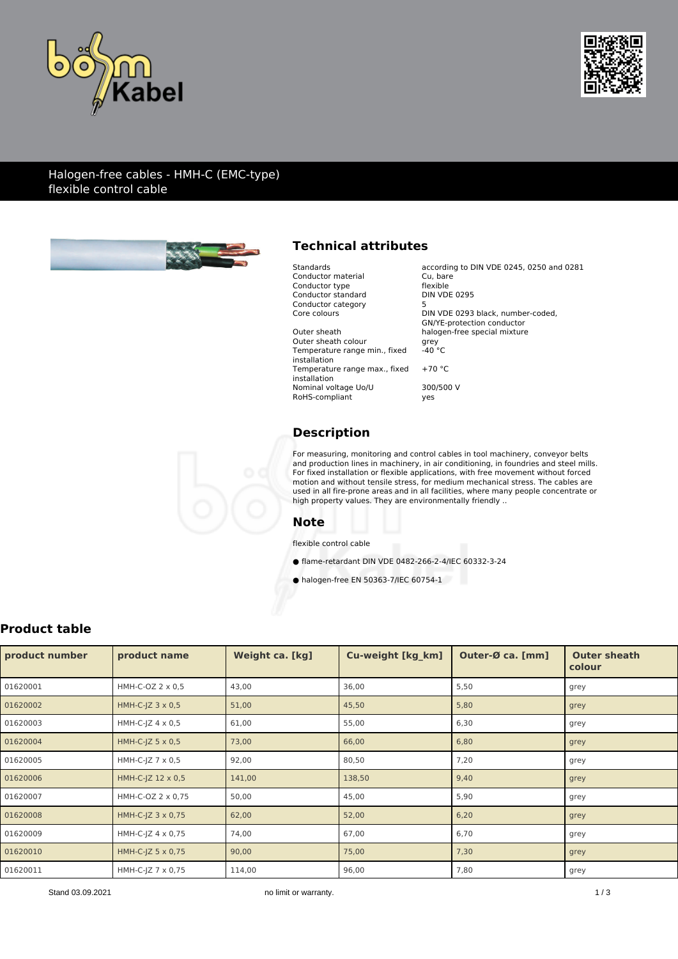



### Halogen-free cables - HMH-C (EMC-type) flexible control cable



# **Technical attributes**

| Standards                     | according to DIN VDE 0245, 0250 and 0281 |
|-------------------------------|------------------------------------------|
| Conductor material            | Cu, bare                                 |
| Conductor type                | flexible                                 |
| Conductor standard            | <b>DIN VDE 0295</b>                      |
| Conductor category            | 5                                        |
| Core colours                  | DIN VDE 0293 black, number-coded,        |
|                               | GN/YE-protection conductor               |
| Outer sheath                  | halogen-free special mixture             |
| Outer sheath colour           | grey                                     |
| Temperature range min., fixed | $-40 °C$                                 |
| installation                  |                                          |
| Temperature range max., fixed | $+70 °C$                                 |
| installation                  |                                          |
| Nominal voltage Uo/U          | 300/500 V                                |
| RoHS-compliant                | yes                                      |
|                               |                                          |

# **Description**

For measuring, monitoring and control cables in tool machinery, conveyor belts and production lines in machinery, in air conditioning, in foundries and steel mills. For fixed installation or flexible applications, with free movement without forced motion and without tensile stress, for medium mechanical stress. The cables are used in all fire-prone areas and in all facilities, where many people concentrate or high property values. They are environmentally friendly ..

#### **Note**

flexible control cable

● flame-retardant DIN VDE 0482-266-2-4/IEC 60332-3-24

● halogen-free EN 50363-7/IEC 60754-1

# **Product table**

| product number | product name               | Weight ca. [kg] | <b>Cu-weight [kg km]</b> | Outer-Ø ca. [mm] | <b>Outer sheath</b><br>colour |
|----------------|----------------------------|-----------------|--------------------------|------------------|-------------------------------|
| 01620001       | HMH-C-OZ 2 x 0,5           | 43,00           | 36,00                    | 5,50             | grey                          |
| 01620002       | HMH-C-JZ 3 x 0,5           | 51,00           | 45,50                    | 5,80             | grey                          |
| 01620003       | HMH-C-JZ $4 \times 0.5$    | 61,00           | 55,00                    | 6,30             | grey                          |
| 01620004       | HMH-C-JZ $5 \times 0.5$    | 73,00           | 66,00                    | 6,80             | grey                          |
| 01620005       | HMH-C-JZ 7 x 0,5           | 92,00           | 80,50                    | 7,20             | grey                          |
| 01620006       | HMH-C-JZ 12 x 0,5          | 141,00          | 138,50                   | 9,40             | grey                          |
| 01620007       | HMH-C-OZ 2 x 0,75          | 50,00           | 45,00                    | 5,90             | grey                          |
| 01620008       | $HMH-C-IZ$ 3 $\times$ 0,75 | 62,00           | 52,00                    | 6,20             | grey                          |
| 01620009       | $HMH-C-IZ 4 \times 0.75$   | 74,00           | 67,00                    | 6,70             | grey                          |
| 01620010       | $HMH-C-IZ 5 \times 0.75$   | 90,00           | 75,00                    | 7,30             | grey                          |
| 01620011       | HMH-C-JZ 7 x 0,75          | 114,00          | 96,00                    | 7,80             | grey                          |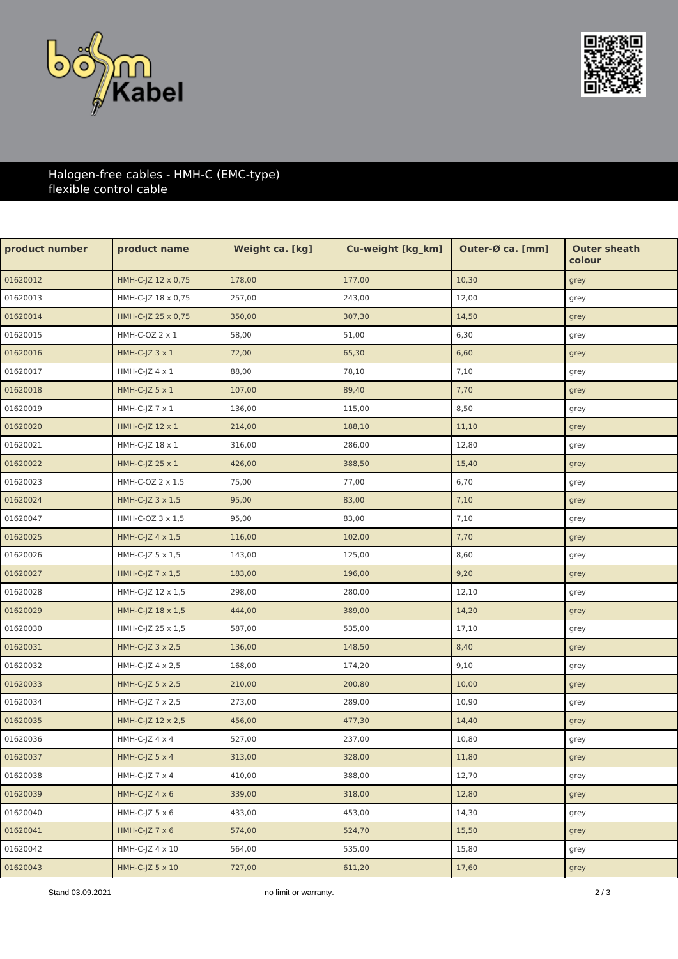



## Halogen-free cables - HMH-C (EMC-type) flexible control cable

| product name             | <b>Weight ca. [kg]</b> | Cu-weight [kg_km] | Outer-Ø ca. [mm] | <b>Outer sheath</b><br>colour |
|--------------------------|------------------------|-------------------|------------------|-------------------------------|
| HMH-C-JZ 12 x 0,75       | 178,00                 | 177,00            | 10,30            | grey                          |
| HMH-C-JZ 18 x 0,75       | 257,00                 | 243,00            | 12,00            | grey                          |
| HMH-C-JZ 25 x 0,75       | 350,00                 | 307,30            | 14,50            | grey                          |
| HMH-C-OZ 2 x 1           | 58,00                  | 51,00             | 6,30             | grey                          |
| $HMH-C-JZ$ 3 $\times$ 1  | 72,00                  | 65,30             | 6,60             | grey                          |
| $HMH-C-JZ 4 x 1$         | 88,00                  | 78,10             | 7,10             | grey                          |
| HMH-C-JZ $5 \times 1$    | 107,00                 | 89,40             | 7,70             | grey                          |
| $HMH-C-JZ 7 x 1$         | 136,00                 | 115,00            | 8,50             | grey                          |
| HMH-C-JZ 12 x 1          | 214,00                 | 188,10            | 11,10            | grey                          |
| HMH-C-JZ 18 x 1          | 316,00                 | 286,00            | 12,80            | grey                          |
| HMH-C-JZ 25 x 1          | 426,00                 | 388,50            | 15,40            | grey                          |
| HMH-C-OZ 2 x 1,5         | 75,00                  | 77,00             | 6,70             | grey                          |
| HMH-C-JZ $3 \times 1.5$  | 95,00                  | 83,00             | 7,10             | grey                          |
| HMH-C-OZ 3 x 1,5         | 95,00                  | 83,00             | 7,10             | grey                          |
| HMH-C-JZ 4 x 1,5         | 116,00                 | 102,00            | 7,70             | grey                          |
| HMH-C-JZ $5 \times 1,5$  | 143,00                 | 125,00            | 8,60             | grey                          |
| HMH-C-JZ 7 x 1,5         | 183,00                 | 196,00            | 9,20             | grey                          |
| HMH-C-JZ 12 x 1,5        | 298,00                 | 280,00            | 12,10            | grey                          |
| HMH-C-JZ 18 x 1,5        | 444,00                 | 389,00            | 14,20            | grey                          |
| $HMH-C-JZ 25 \times 1.5$ | 587,00                 | 535,00            | 17,10            | grey                          |
| HMH-C-JZ $3 \times 2.5$  | 136,00                 | 148,50            | 8,40             | grey                          |
| HMH-C-JZ $4 \times 2,5$  | 168,00                 | 174,20            | 9,10             | grey                          |
| HMH-C-JZ $5 \times 2,5$  | 210,00                 | 200,80            | 10,00            | grey                          |
| HMH-C-JZ 7 x 2,5         | 273,00                 | 289,00            | 10,90            | grey                          |
| HMH-C-JZ 12 x 2,5        | 456,00                 | 477,30            | 14,40            | grey                          |
| $HMH-C-JZ 4 x 4$         | 527,00                 | 237,00            | 10,80            | grey                          |
| HMH-C-JZ $5 \times 4$    | 313,00                 | 328,00            | 11,80            | grey                          |
| HMH-C-JZ $7 \times 4$    | 410,00                 | 388,00            | 12,70            | grey                          |
| HMH-C-JZ $4 \times 6$    | 339,00                 | 318,00            | 12,80            | grey                          |
| $HMH-C-JZ 5 x 6$         | 433,00                 | 453,00            | 14,30            | grey                          |
| HMH-C-JZ $7 \times 6$    | 574,00                 | 524,70            | 15,50            | grey                          |
| $HMH-C-JZ 4 \times 10$   | 564,00                 | 535,00            | 15,80            | grey                          |
| HMH-C-JZ $5 \times 10$   | 727,00                 | 611,20            | 17,60            | grey                          |
|                          |                        |                   |                  |                               |